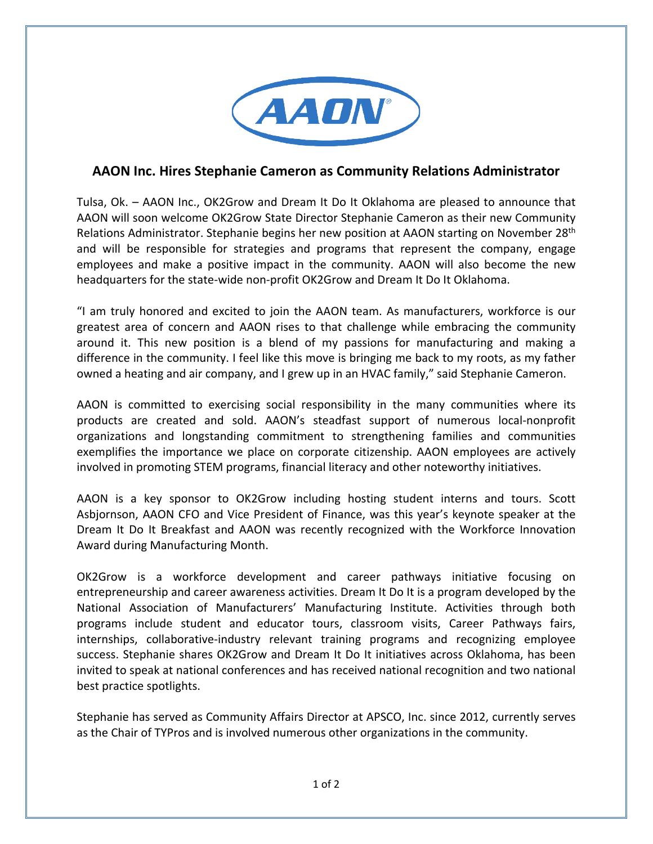

## **AAON Inc. Hires Stephanie Cameron as Community Relations Administrator**

Tulsa, Ok. – AAON Inc., OK2Grow and Dream It Do It Oklahoma are pleased to announce that AAON will soon welcome OK2Grow State Director Stephanie Cameron as their new Community Relations Administrator. Stephanie begins her new position at AAON starting on November 28<sup>th</sup> and will be responsible for strategies and programs that represent the company, engage employees and make a positive impact in the community. AAON will also become the new headquarters for the state-wide non-profit OK2Grow and Dream It Do It Oklahoma.

"I am truly honored and excited to join the AAON team. As manufacturers, workforce is our greatest area of concern and AAON rises to that challenge while embracing the community around it. This new position is a blend of my passions for manufacturing and making a difference in the community. I feel like this move is bringing me back to my roots, as my father owned a heating and air company, and I grew up in an HVAC family," said Stephanie Cameron.

AAON is committed to exercising social responsibility in the many communities where its products are created and sold. AAON's steadfast support of numerous local-nonprofit organizations and longstanding commitment to strengthening families and communities exemplifies the importance we place on corporate citizenship. AAON employees are actively involved in promoting STEM programs, financial literacy and other noteworthy initiatives.

AAON is a key sponsor to OK2Grow including hosting student interns and tours. Scott Asbjornson, AAON CFO and Vice President of Finance, was this year's keynote speaker at the Dream It Do It Breakfast and AAON was recently recognized with the Workforce Innovation Award during Manufacturing Month.

OK2Grow is a workforce development and career pathways initiative focusing on entrepreneurship and career awareness activities. Dream It Do It is a program developed by the National Association of Manufacturers' Manufacturing Institute. Activities through both programs include student and educator tours, classroom visits, Career Pathways fairs, internships, collaborative-industry relevant training programs and recognizing employee success. Stephanie shares OK2Grow and Dream It Do It initiatives across Oklahoma, has been invited to speak at national conferences and has received national recognition and two national best practice spotlights.

Stephanie has served as Community Affairs Director at APSCO, Inc. since 2012, currently serves as the Chair of TYPros and is involved numerous other organizations in the community.